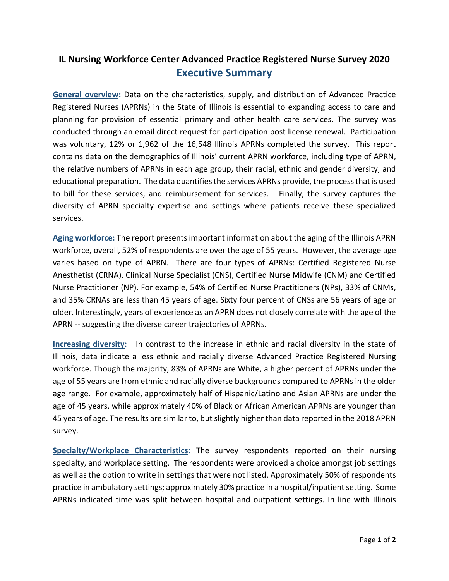## **IL Nursing Workforce Center Advanced Practice Registered Nurse Survey 2020 Executive Summary**

**General overview:** Data on the characteristics, supply, and distribution of Advanced Practice Registered Nurses (APRNs) in the State of Illinois is essential to expanding access to care and planning for provision of essential primary and other health care services. The survey was conducted through an email direct request for participation post license renewal. Participation was voluntary, 12% or 1,962 of the 16,548 Illinois APRNs completed the survey. This report contains data on the demographics of Illinois' current APRN workforce, including type of APRN, the relative numbers of APRNs in each age group, their racial, ethnic and gender diversity, and educational preparation. The data quantifies the services APRNs provide, the process that is used to bill for these services, and reimbursement for services. Finally, the survey captures the diversity of APRN specialty expertise and settings where patients receive these specialized services.

**Aging workforce:** The report presents important information about the aging of the Illinois APRN workforce, overall, 52% of respondents are over the age of 55 years. However, the average age varies based on type of APRN. There are four types of APRNs: Certified Registered Nurse Anesthetist (CRNA), Clinical Nurse Specialist (CNS), Certified Nurse Midwife (CNM) and Certified Nurse Practitioner (NP). For example, 54% of Certified Nurse Practitioners (NPs), 33% of CNMs, and 35% CRNAs are less than 45 years of age. Sixty four percent of CNSs are 56 years of age or older. Interestingly, years of experience as an APRN does not closely correlate with the age of the APRN -- suggesting the diverse career trajectories of APRNs.

**Increasing diversity:** In contrast to the increase in ethnic and racial diversity in the state of Illinois, data indicate a less ethnic and racially diverse Advanced Practice Registered Nursing workforce. Though the majority, 83% of APRNs are White, a higher percent of APRNs under the age of 55 years are from ethnic and racially diverse backgrounds compared to APRNs in the older age range. For example, approximately half of Hispanic/Latino and Asian APRNs are under the age of 45 years, while approximately 40% of Black or African American APRNs are younger than 45 years of age. The results are similar to, but slightly higher than data reported in the 2018 APRN survey.

**Specialty/Workplace Characteristics:** The survey respondents reported on their nursing specialty, and workplace setting. The respondents were provided a choice amongst job settings as well as the option to write in settings that were not listed. Approximately 50% of respondents practice in ambulatory settings; approximately 30% practice in a hospital/inpatient setting. Some APRNs indicated time was split between hospital and outpatient settings. In line with Illinois